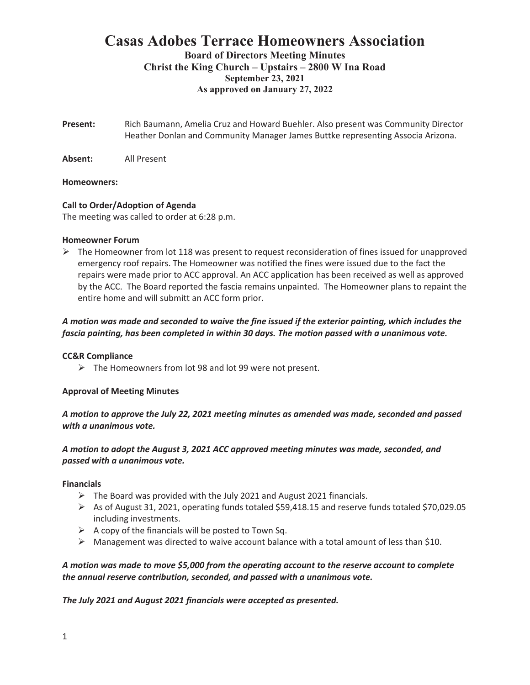# **Casas Adobes Terrace Homeowners Association Board of Directors Meeting Minutes**

# **Christ the King Church – Upstairs – 2800 W Ina Road September 23, 2021 As approved on January 27, 2022**

**Present:** Rich Baumann, Amelia Cruz and Howard Buehler. Also present was Community Director Heather Donlan and Community Manager James Buttke representing Associa Arizona.

**Absent:** All Present

# **Homeowners:**

# **Call to Order/Adoption of Agenda**

The meeting was called to order at 6:28 p.m.

#### **Homeowner Forum**

 $\triangleright$  The Homeowner from lot 118 was present to request reconsideration of fines issued for unapproved emergency roof repairs. The Homeowner was notified the fines were issued due to the fact the repairs were made prior to ACC approval. An ACC application has been received as well as approved by the ACC. The Board reported the fascia remains unpainted. The Homeowner plans to repaint the entire home and will submitt an ACC form prior.

# *A motion was made and seconded to waive the fine issued if the exterior painting, which includes the fascia painting, has been completed in within 30 days. The motion passed with a unanimous vote.*

# **CC&R Compliance**

 $\triangleright$  The Homeowners from lot 98 and lot 99 were not present.

# **Approval of Meeting Minutes**

*A motion to approve the July 22, 2021 meeting minutes as amended was made, seconded and passed with a unanimous vote.* 

# *A motion to adopt the August 3, 2021 ACC approved meeting minutes was made, seconded, and passed with a unanimous vote.*

# **Financials**

- $\triangleright$  The Board was provided with the July 2021 and August 2021 financials.
- $\triangleright$  As of August 31, 2021, operating funds totaled \$59,418.15 and reserve funds totaled \$70,029.05 including investments.
- $\triangleright$  A copy of the financials will be posted to Town Sq.
- $\triangleright$  Management was directed to waive account balance with a total amount of less than \$10.

# *A motion was made to move \$5,000 from the operating account to the reserve account to complete the annual reserve contribution, seconded, and passed with a unanimous vote.*

*The July 2021 and August 2021 financials were accepted as presented.*